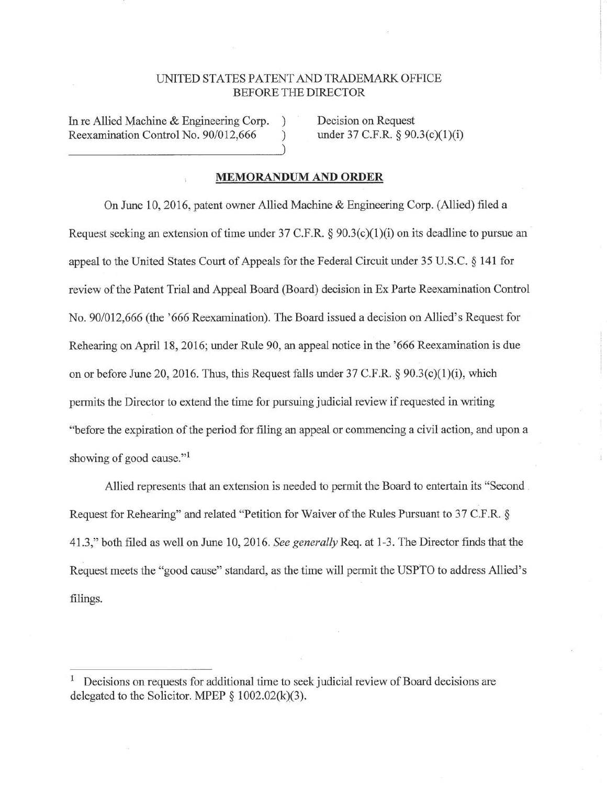## UNITED STATES PATENT AND TRADEMARK OFFICE BEFORE THE DIRECTOR

In re Allied Machine & Engineering Corp. Reexamination Control No. 90/012,666 ) Decision on Request under 37 C.F.R. § 90.3(c)(1)(i)

## **MEMORANDUM AND ORDER**

On June 10, 2016, patent owner Allied Machine & Engineering Corp. (Allied) filed a Request seeking an extension of time under 37 C.F.R.  $\S 90.3(c)(1)(i)$  on its deadline to pursue an appeal to the United States Court of Appeals for the Federal Circuit under 35 U.S.C. § 141 for review of the Patent Trial and Appeal Board (Board) decision in Ex Parte Reexamination Control No. 90/012,666 (the '666 Reexamination). The Board issued a decision on Allied's Request for Rehearing on April 18, 2016; under Rule 90, an appeal notice in the '666 Reexamination is due on or before June 20, 2016. Thus, this Request falls under  $37 \text{ C.F.R.} \$   $90.3(c)(1)(i)$ , which permits the Director to extend the time for pursuing judicial review if requested in writing "before the expiration of the period for filing an appeal or commencing a civil action, and upon a showing of good cause."<sup>1</sup>

Allied represents that an extension is needed to permit the Board to entertain its "Second . Request for Rehearing" and related "Petition for Waiver of the Rules Pursuant to 37 C.F.R. § 41.3," both filed as well on June 10, 2016. *See generally* Req. at 1-3. The Director finds that the Request meets the "good cause" standard, as the time will permit the USPTO to address Allied's filings.

<sup>1</sup>Decisions on requests for additional time to seek judicial review of Board decisions are delegated to the Solicitor. MPEP  $\S$  1002.02(k)(3).